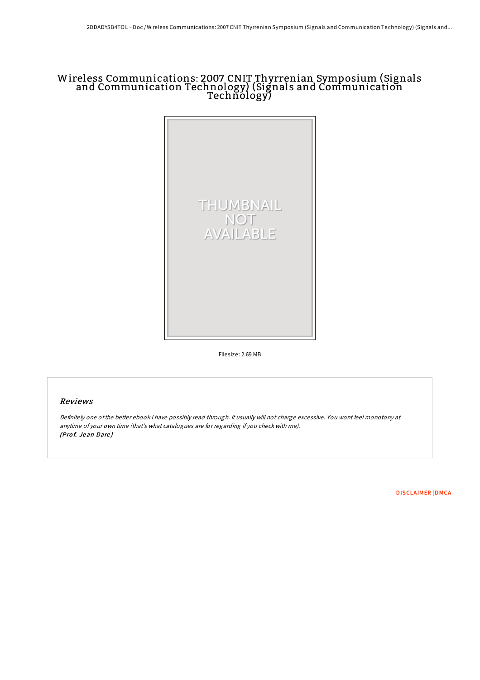# Wireless Communications: 2007 CNIT Thyrrenian Symposium (Signals and Communication Technology) (Signals and Communication Technólogy)



Filesize: 2.69 MB

#### Reviews

Definitely one ofthe better ebook <sup>I</sup> have possibly read through. It usually will not charge excessive. You wont feel monotony at anytime of your own time (that's what catalogues are for regarding if you check with me). (Prof. Jean Dare)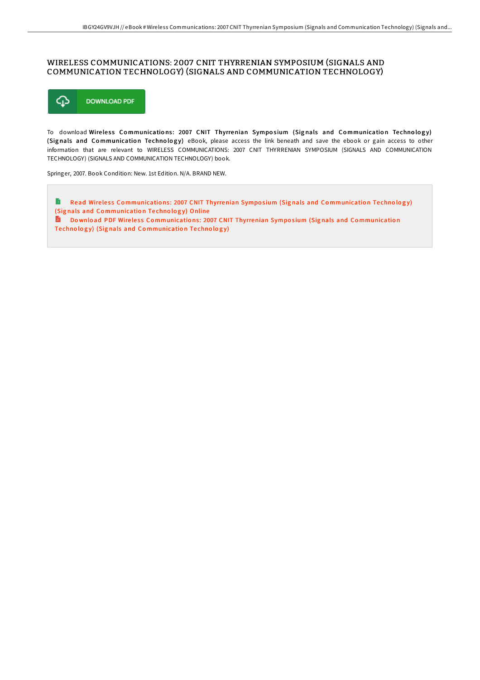## WIRELESS COMMUNICATIONS: 2007 CNIT THYRRENIAN SYMPOSIUM (SIGNALS AND COMMUNICATION TECHNOLOGY) (SIGNALS AND COMMUNICATION TECHNOLOGY)



To download Wireless Communications: 2007 CNIT Thyrrenian Symposium (Signals and Communication Technology) (Signals and Communication Technology) eBook, please access the link beneath and save the ebook or gain access to other information that are relevant to WIRELESS COMMUNICATIONS: 2007 CNIT THYRRENIAN SYMPOSIUM (SIGNALS AND COMMUNICATION TECHNOLOGY) (SIGNALS AND COMMUNICATION TECHNOLOGY) book.

Springer, 2007. Book Condition: New. 1st Edition. N/A. BRAND NEW.